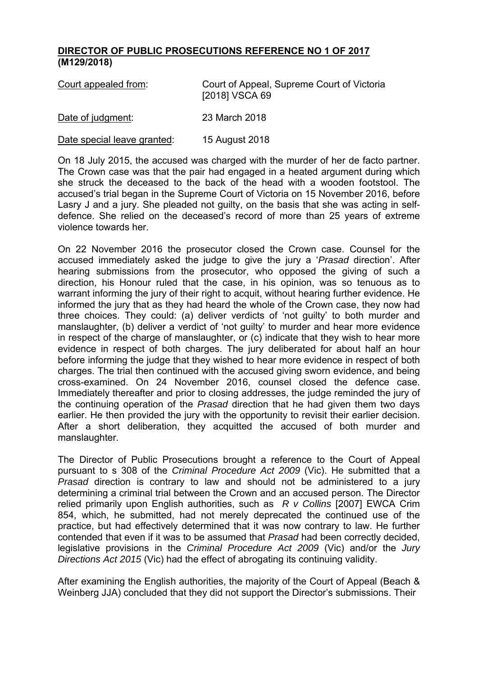## **DIRECTOR OF PUBLIC PROSECUTIONS REFERENCE NO 1 OF 2017 (M129/2018)**

| Court appealed from:        | Court of Appeal, Supreme Court of Victoria<br>[2018] VSCA 69 |
|-----------------------------|--------------------------------------------------------------|
| Date of judgment:           | 23 March 2018                                                |
| Date special leave granted: | 15 August 2018                                               |

On 18 July 2015, the accused was charged with the murder of her de facto partner. The Crown case was that the pair had engaged in a heated argument during which she struck the deceased to the back of the head with a wooden footstool. The accused's trial began in the Supreme Court of Victoria on 15 November 2016, before Lasry J and a jury. She pleaded not guilty, on the basis that she was acting in selfdefence. She relied on the deceased's record of more than 25 years of extreme violence towards her.

On 22 November 2016 the prosecutor closed the Crown case. Counsel for the accused immediately asked the judge to give the jury a '*Prasad* direction'. After hearing submissions from the prosecutor, who opposed the giving of such a direction, his Honour ruled that the case, in his opinion, was so tenuous as to warrant informing the jury of their right to acquit, without hearing further evidence. He informed the jury that as they had heard the whole of the Crown case, they now had three choices. They could: (a) deliver verdicts of 'not guilty' to both murder and manslaughter, (b) deliver a verdict of 'not guilty' to murder and hear more evidence in respect of the charge of manslaughter, or (c) indicate that they wish to hear more evidence in respect of both charges. The jury deliberated for about half an hour before informing the judge that they wished to hear more evidence in respect of both charges. The trial then continued with the accused giving sworn evidence, and being cross-examined. On 24 November 2016, counsel closed the defence case. Immediately thereafter and prior to closing addresses, the judge reminded the jury of the continuing operation of the *Prasad* direction that he had given them two days earlier. He then provided the jury with the opportunity to revisit their earlier decision. After a short deliberation, they acquitted the accused of both murder and manslaughter.

The Director of Public Prosecutions brought a reference to the Court of Appeal pursuant to s 308 of the *Criminal Procedure Act 2009* (Vic). He submitted that a *Prasad* direction is contrary to law and should not be administered to a jury determining a criminal trial between the Crown and an accused person. The Director relied primarily upon English authorities, such as *R v Collins* [2007] EWCA Crim 854, which, he submitted, had not merely deprecated the continued use of the practice, but had effectively determined that it was now contrary to law. He further contended that even if it was to be assumed that *Prasad* had been correctly decided, legislative provisions in the *Criminal Procedure Act 2009* (Vic) and/or the *Jury Directions Act 2015* (Vic) had the effect of abrogating its continuing validity.

After examining the English authorities, the majority of the Court of Appeal (Beach & Weinberg JJA) concluded that they did not support the Director's submissions. Their